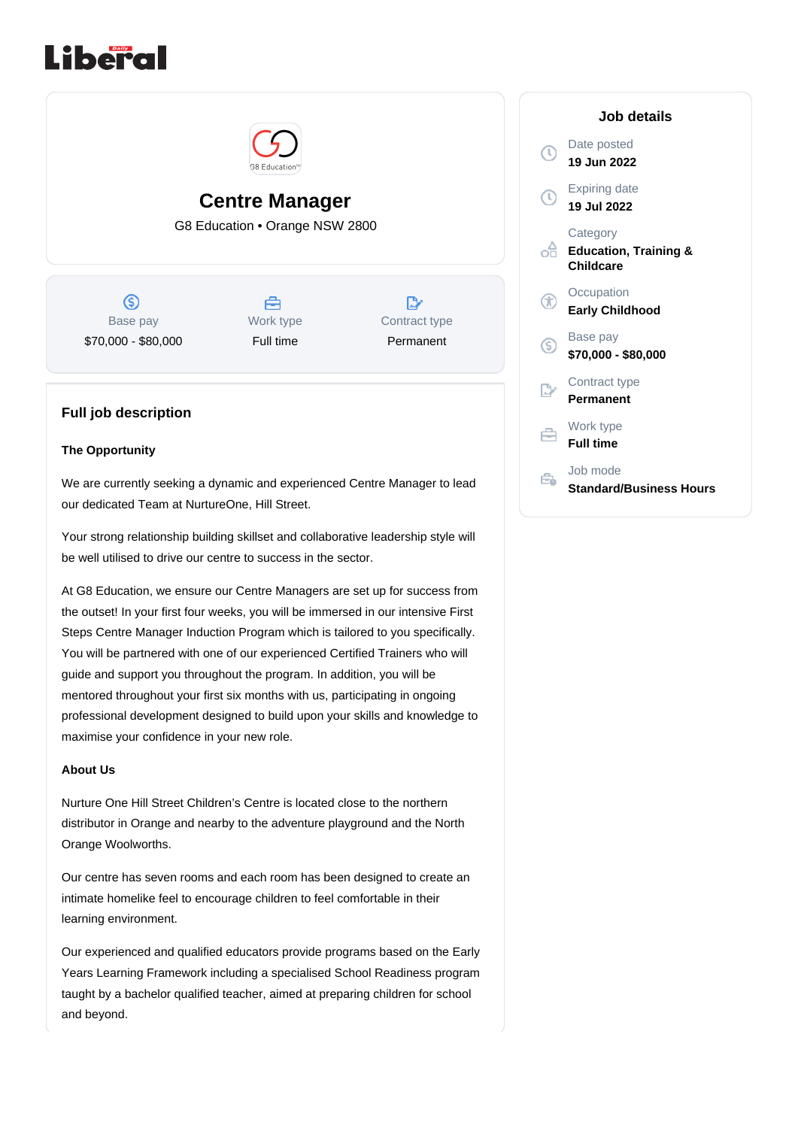



# **Centre Manager**

G8 Education • Orange NSW 2800

 $\circledS$ Base pay \$70,000 - \$80,000

A Work type Full time

 $\mathbb{R}^*$ Contract type Permanent

## **Full job description**

#### **The Opportunity**

We are currently seeking a dynamic and experienced Centre Manager to lead our dedicated Team at NurtureOne, Hill Street.

Your strong relationship building skillset and collaborative leadership style will be well utilised to drive our centre to success in the sector.

At G8 Education, we ensure our Centre Managers are set up for success from the outset! In your first four weeks, you will be immersed in our intensive First Steps Centre Manager Induction Program which is tailored to you specifically. You will be partnered with one of our experienced Certified Trainers who will guide and support you throughout the program. In addition, you will be mentored throughout your first six months with us, participating in ongoing professional development designed to build upon your skills and knowledge to maximise your confidence in your new role.

#### **About Us**

Nurture One Hill Street Children's Centre is located close to the northern distributor in Orange and nearby to the adventure playground and the North Orange Woolworths.

Our centre has seven rooms and each room has been designed to create an intimate homelike feel to encourage children to feel comfortable in their learning environment.

Our experienced and qualified educators provide programs based on the Early Years Learning Framework including a specialised School Readiness program taught by a bachelor qualified teacher, aimed at preparing children for school and beyond.